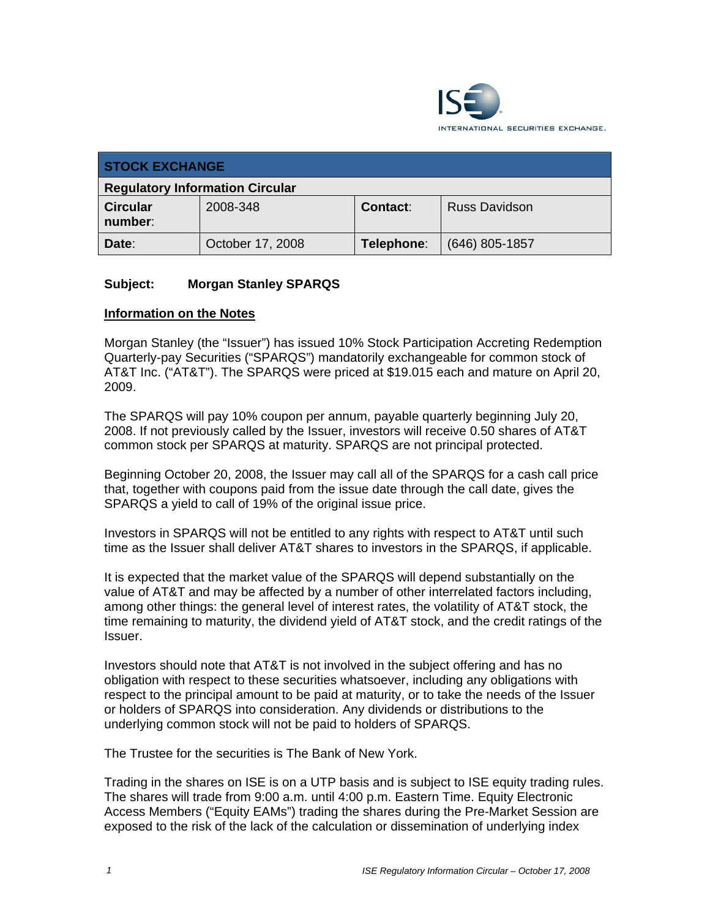

| <b>STOCK EXCHANGE</b>                  |                  |                 |                      |  |
|----------------------------------------|------------------|-----------------|----------------------|--|
| <b>Regulatory Information Circular</b> |                  |                 |                      |  |
| <b>Circular</b><br>number:             | 2008-348         | <b>Contact:</b> | <b>Russ Davidson</b> |  |
| Date:                                  | October 17, 2008 | Telephone:      | $(646)$ 805-1857     |  |

## **Subject: Morgan Stanley SPARQS**

## **Information on the Notes**

Morgan Stanley (the "Issuer") has issued 10% Stock Participation Accreting Redemption Quarterly-pay Securities ("SPARQS") mandatorily exchangeable for common stock of AT&T Inc. ("AT&T"). The SPARQS were priced at \$19.015 each and mature on April 20, 2009.

The SPARQS will pay 10% coupon per annum, payable quarterly beginning July 20, 2008. If not previously called by the Issuer, investors will receive 0.50 shares of AT&T common stock per SPARQS at maturity. SPARQS are not principal protected.

Beginning October 20, 2008, the Issuer may call all of the SPARQS for a cash call price that, together with coupons paid from the issue date through the call date, gives the SPARQS a yield to call of 19% of the original issue price.

Investors in SPARQS will not be entitled to any rights with respect to AT&T until such time as the Issuer shall deliver AT&T shares to investors in the SPARQS, if applicable.

It is expected that the market value of the SPARQS will depend substantially on the value of AT&T and may be affected by a number of other interrelated factors including, among other things: the general level of interest rates, the volatility of AT&T stock, the time remaining to maturity, the dividend yield of AT&T stock, and the credit ratings of the Issuer.

Investors should note that AT&T is not involved in the subject offering and has no obligation with respect to these securities whatsoever, including any obligations with respect to the principal amount to be paid at maturity, or to take the needs of the Issuer or holders of SPARQS into consideration. Any dividends or distributions to the underlying common stock will not be paid to holders of SPARQS.

The Trustee for the securities is The Bank of New York.

Trading in the shares on ISE is on a UTP basis and is subject to ISE equity trading rules. The shares will trade from 9:00 a.m. until 4:00 p.m. Eastern Time. Equity Electronic Access Members ("Equity EAMs") trading the shares during the Pre-Market Session are exposed to the risk of the lack of the calculation or dissemination of underlying index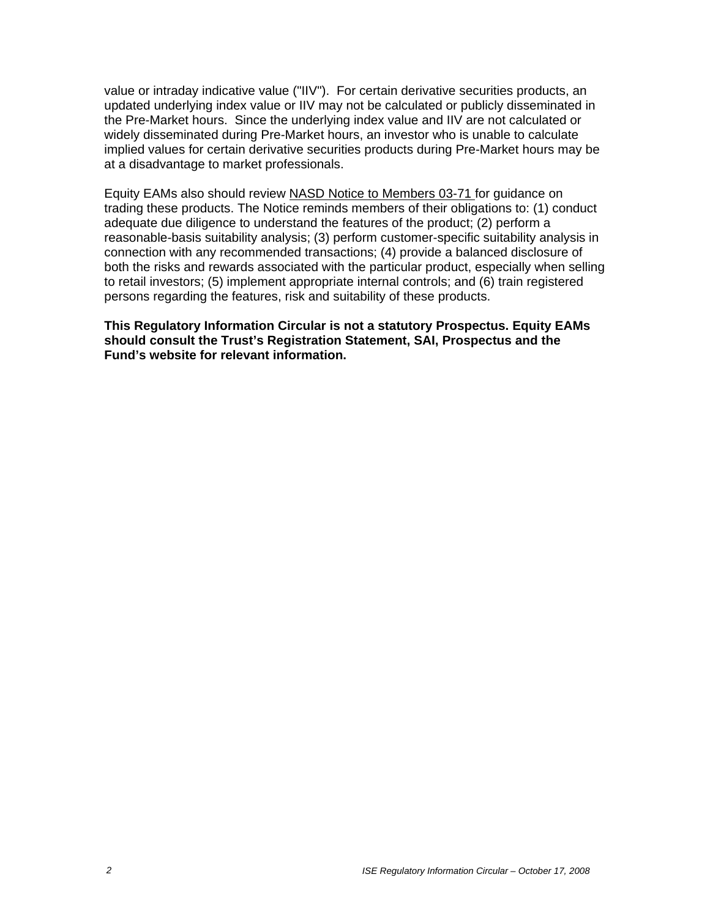value or intraday indicative value ("IIV"). For certain derivative securities products, an updated underlying index value or IIV may not be calculated or publicly disseminated in the Pre-Market hours. Since the underlying index value and IIV are not calculated or widely disseminated during Pre-Market hours, an investor who is unable to calculate implied values for certain derivative securities products during Pre-Market hours may be at a disadvantage to market professionals.

Equity EAMs also should review NASD Notice to Members 03-71 for guidance on trading these products. The Notice reminds members of their obligations to: (1) conduct adequate due diligence to understand the features of the product; (2) perform a reasonable-basis suitability analysis; (3) perform customer-specific suitability analysis in connection with any recommended transactions; (4) provide a balanced disclosure of both the risks and rewards associated with the particular product, especially when selling to retail investors; (5) implement appropriate internal controls; and (6) train registered persons regarding the features, risk and suitability of these products.

**This Regulatory Information Circular is not a statutory Prospectus. Equity EAMs should consult the Trust's Registration Statement, SAI, Prospectus and the Fund's website for relevant information.**